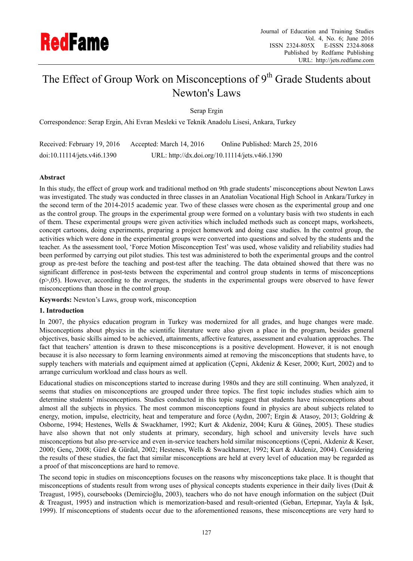

# The Effect of Group Work on Misconceptions of  $9<sup>th</sup>$  Grade Students about Newton's Laws

Serap Ergin

Correspondence: Serap Ergin, Ahi Evran Mesleki ve Teknik Anadolu Lisesi, Ankara, Turkey

| Received: February 19, 2016 | Accepted: March 14, 2016 | Online Published: March 25, 2016               |
|-----------------------------|--------------------------|------------------------------------------------|
| doi:10.11114/jets.v4i6.1390 |                          | URL: http://dx.doi.org/10.11114/jets.v4i6.1390 |

## **Abstract**

In this study, the effect of group work and traditional method on 9th grade students' misconceptions about Newton Laws was investigated. The study was conducted in three classes in an Anatolian Vocational High School in Ankara/Turkey in the second term of the 2014-2015 academic year. Two of these classes were chosen as the experimental group and one as the control group. The groups in the experimental group were formed on a voluntary basis with two students in each of them. These experimental groups were given activities which included methods such as concept maps, worksheets, concept cartoons, doing experiments, preparing a project homework and doing case studies. In the control group, the activities which were done in the experimental groups were converted into questions and solved by the students and the teacher. As the assessment tool, 'Force Motion Misconception Test' was used, whose validity and reliability studies had been performed by carrying out pilot studies. This test was administered to both the experimental groups and the control group as pre-test before the teaching and post-test after the teaching. The data obtained showed that there was no significant difference in post-tests between the experimental and control group students in terms of misconceptions (p>,05). However, according to the averages, the students in the experimental groups were observed to have fewer misconceptions than those in the control group.

**Keywords:** Newton's Laws, group work, misconception

### **1. Introduction**

In 2007, the physics education program in Turkey was modernized for all grades, and huge changes were made. Misconceptions about physics in the scientific literature were also given a place in the program, besides general objectives, basic skills aimed to be achieved, attainments, affective features, assessment and evaluation approaches. The fact that teachers' attention is drawn to these misconceptions is a positive development. However, it is not enough because it is also necessary to form learning environments aimed at removing the misconceptions that students have, to supply teachers with materials and equipment aimed at application (Çepni, Akdeniz & Keser, 2000; Kurt, 2002) and to arrange curriculum workload and class hours as well.

Educational studies on misconceptions started to increase during 1980s and they are still continuing. When analyzed, it seems that studies on misconceptions are grouped under three topics. The first topic includes studies which aim to determine students' misconceptions. Studies conducted in this topic suggest that students have misconceptions about almost all the subjects in physics. The most common misconceptions found in physics are about subjects related to energy, motion, impulse, electricity, heat and temperature and force (Aydın, 2007; Ergin & Atasoy, 2013; Goldring & Osborne, 1994; Hestenes, Wells & Swackhamer, 1992; Kurt & Akdeniz, 2004; Kuru & Güneş, 2005). These studies have also shown that not only students at primary, secondary, high school and university levels have such misconceptions but also pre-service and even in-service teachers hold similar misconceptions (Çepni, Akdeniz & Keser, 2000; Genç, 2008; Gürel & Gürdal, 2002; Hestenes, Wells & Swackhamer, 1992; Kurt & Akdeniz, 2004). Considering the results of these studies, the fact that similar misconceptions are held at every level of education may be regarded as a proof of that misconceptions are hard to remove.

The second topic in studies on misconceptions focuses on the reasons why misconceptions take place. It is thought that misconceptions of students result from wrong uses of physical concepts students experience in their daily lives (Duit & Treagust, 1995), coursebooks (Demircioğlu, 2003), teachers who do not have enough information on the subject (Duit & Treagust, 1995) and instruction which is memorization-based and result-oriented (Geban, Ertepınar, Yayla & Işık, 1999). If misconceptions of students occur due to the aforementioned reasons, these misconceptions are very hard to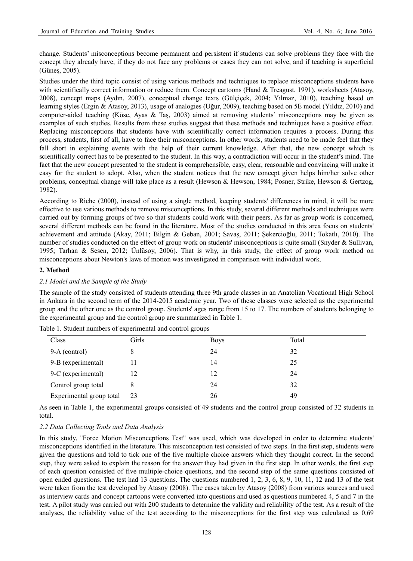change. Students' misconceptions become permanent and persistent if students can solve problems they face with the concept they already have, if they do not face any problems or cases they can not solve, and if teaching is superficial (Güneş, 2005).

Studies under the third topic consist of using various methods and techniques to replace misconceptions students have with scientifically correct information or reduce them. Concept cartoons (Hand & Treagust, 1991), worksheets (Atasoy, 2008), concept maps (Aydın, 2007), conceptual change texts (Gülçiçek, 2004; Yılmaz, 2010), teaching based on learning styles (Ergin & Atasoy, 2013), usage of analogies (Uğur, 2009), teaching based on 5E model (Yıldız, 2010) and computer-aided teaching (Köse, Ayas & Taş, 2003) aimed at removing students' misconceptions may be given as examples of such studies. Results from these studies suggest that these methods and techniques have a positive effect. Replacing misconceptions that students have with scientifically correct information requires a process. During this process, students, first of all, have to face their misconceptions. In other words, students need to be made feel that they fall short in explaining events with the help of their current knowledge. After that, the new concept which is scientifically correct has to be presented to the student. In this way, a contradiction will occur in the student's mind. The fact that the new concept presented to the student is comprehensible, easy, clear, reasonable and convincing will make it easy for the student to adopt. Also, when the student notices that the new concept given helps him/her solve other problems, conceptual change will take place as a result (Hewson & Hewson, 1984; Posner, Strike, Hewson & Gertzog, 1982).

According to Riche (2000), instead of using a single method, keeping students' differences in mind, it will be more effective to use various methods to remove misconceptions. In this study, several different methods and techniques were carried out by forming groups of two so that students could work with their peers. As far as group work is concerned, several different methods can be found in the literature. Most of the studies conducted in this area focus on students' achievement and attitude (Akay, 2011; Bilgin & Geban, 2001; Savaş, 2011; Şekercioğlu, 2011; Tokatlı, 2010). The number of studies conducted on the effect of group work on students' misconceptions is quite small (Snyder & Sullivan, 1995; Tarhan & Sesen, 2012; Ünlüsoy, 2006). That is why, in this study, the effect of group work method on misconceptions about Newton's laws of motion was investigated in comparison with individual work.

## **2. Method**

## *2.1 Model and the Sample of the Study*

The sample of the study consisted of students attending three 9th grade classes in an Anatolian Vocational High School in Ankara in the second term of the 2014-2015 academic year. Two of these classes were selected as the experimental group and the other one as the control group. Students' ages range from 15 to 17. The numbers of students belonging to the experimental group and the control group are summarized in Table 1.

| Class                    | Girls | <b>Boys</b> | Total |
|--------------------------|-------|-------------|-------|
| 9-A (control)            | 8     | 24          | 32    |
| 9-B (experimental)       |       | 14          | 25    |
| 9-C (experimental)       |       | 12          | 24    |
| Control group total      |       | 24          | 32    |
| Experimental group total | 23    | 26          | 49    |

Table 1. Student numbers of experimental and control groups

As seen in Table 1, the experimental groups consisted of 49 students and the control group consisted of 32 students in total.

## *2.2 Data Collecting Tools and Data Analysis*

In this study, ''Force Motion Misconceptions Test'' was used, which was developed in order to determine students' misconceptions identified in the literature. This misconception test consisted of two steps. In the first step, students were given the questions and told to tick one of the five multiple choice answers which they thought correct. In the second step, they were asked to explain the reason for the answer they had given in the first step. In other words, the first step of each question consisted of five multiple-choice questions, and the second step of the same questions consisted of open ended questions. The test had 13 questions. The questions numbered 1, 2, 3, 6, 8, 9, 10, 11, 12 and 13 of the test were taken from the test developed by Atasoy (2008). The cases taken by Atasoy (2008) from various sources and used as interview cards and concept cartoons were converted into questions and used as questions numbered 4, 5 and 7 in the test. A pilot study was carried out with 200 students to determine the validity and reliability of the test. As a result of the analyses, the reliability value of the test according to the misconceptions for the first step was calculated as 0,69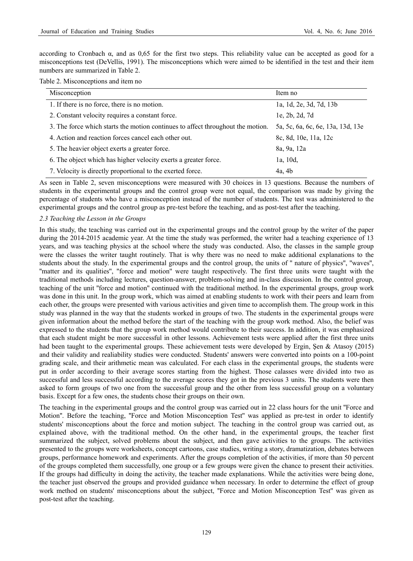according to Cronbach  $\alpha$ , and as 0,65 for the first two steps. This reliability value can be accepted as good for a misconceptions test (DeVellis, 1991). The misconceptions which were aimed to be identified in the test and their item numbers are summarized in Table 2.

#### Table 2. Misconceptions and item no

| Misconception                                                                   | Item no                           |
|---------------------------------------------------------------------------------|-----------------------------------|
| 1. If there is no force, there is no motion.                                    | 1a, 1d, 2e, 3d, 7d, 13b           |
| 2. Constant velocity requires a constant force.                                 | le, 2b, 2d, 7d                    |
| 3. The force which starts the motion continues to affect throughout the motion. | 5a, 5c, 6a, 6c, 6e, 13a, 13d, 13e |
| 4. Action and reaction forces cancel each other out.                            | 8c, 8d, 10e, 11a, 12c             |
| 5. The heavier object exerts a greater force.                                   | 8a, 9a, 12a                       |
| 6. The object which has higher velocity exerts a greater force.                 | 1a, 10d,                          |
| 7. Velocity is directly proportional to the exerted force.                      | 4a, 4b                            |

As seen in Table 2, seven misconceptions were measured with 30 choices in 13 questions. Because the numbers of students in the experimental groups and the control group were not equal, the comparison was made by giving the percentage of students who have a misconception instead of the number of students. The test was administered to the experimental groups and the control group as pre-test before the teaching, and as post-test after the teaching.

### *2.3 Teaching the Lesson in the Groups*

In this study, the teaching was carried out in the experimental groups and the control group by the writer of the paper during the 2014-2015 academic year. At the time the study was performed, the writer had a teaching experience of 13 years, and was teaching physics at the school where the study was conducted. Also, the classes in the sample group were the classes the writer taught routinely. That is why there was no need to make additional explanations to the students about the study. In the experimental groups and the control group, the units of '' nature of physics'', ''waves'', ''matter and its qualities'', ''force and motion'' were taught respectively. The first three units were taught with the traditional methods including lectures, question-answer, problem-solving and in-class discussion. In the control group, teaching of the unit ''force and motion'' continued with the traditional method. In the experimental groups, group work was done in this unit. In the group work, which was aimed at enabling students to work with their peers and learn from each other, the groups were presented with various activities and given time to accomplish them. The group work in this study was planned in the way that the students worked in groups of two. The students in the experimental groups were given information about the method before the start of the teaching with the group work method. Also, the belief was expressed to the students that the group work method would contribute to their success. In addition, it was emphasized that each student might be more successful in other lessons. Achievement tests were applied after the first three units had been taught to the experimental groups. These achievement tests were developed by Ergin, Sen & Atasoy (2015) and their validity and realiability studies were conducted. Students' answers were converted into points on a 100-point grading scale, and their arithmetic mean was calculated. For each class in the experimental groups, the students were put in order according to their average scores starting from the highest. Those calasses were divided into two as successful and less successful according to the average scores they got in the previous 3 units. The students were then asked to form groups of two one from the successful group and the other from less successful group on a voluntary basis. Except for a few ones, the students chose their groups on their own.

The teaching in the experimental groups and the control group was carried out in 22 class hours for the unit ''Force and Motion''. Before the teaching, ''Force and Motion Misconception Test'' was applied as pre-test in order to identify students' misconceptions about the force and motion subject. The teaching in the control group was carried out, as explained above, with the traditional method. On the other hand, in the experimental groups, the teacher first summarized the subject, solved problems about the subject, and then gave activities to the groups. The activities presented to the groups were worksheets, concept cartoons, case studies, writing a story, dramatization, debates between groups, performance homework and experiments. After the groups completion of the activities, if more than 50 percent of the groups completed them successfully, one group or a few groups were given the chance to present their activities. If the groups had difficulty in doing the activity, the teacher made explanations. While the activities were being done, the teacher just observed the groups and provided guidance when necessary. In order to determine the effect of group work method on students' misconceptions about the subject, "Force and Motion Misconception Test" was given as post-test after the teaching.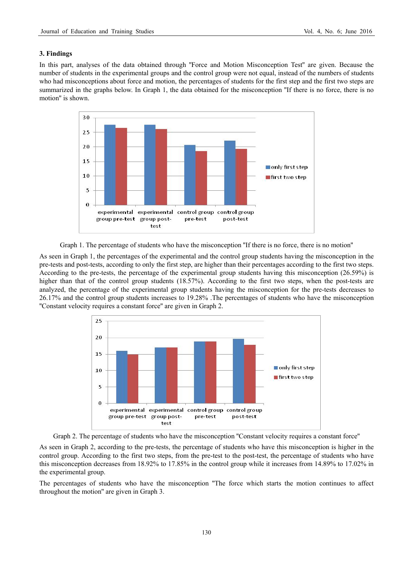## **3. Findings**

In this part, analyses of the data obtained through "Force and Motion Misconception Test" are given. Because the number of students in the experimental groups and the control group were not equal, instead of the numbers of students who had misconceptions about force and motion, the percentages of students for the first step and the first two steps are summarized in the graphs below. In Graph 1, the data obtained for the misconception "If there is no force, there is no motion'' is shown.



Graph 1. The percentage of students who have the misconception ''If there is no force, there is no motion''

As seen in Graph 1, the percentages of the experimental and the control group students having the misconception in the pre-tests and post-tests, according to only the first step, are higher than their percentages according to the first two steps. According to the pre-tests, the percentage of the experimental group students having this misconception (26.59%) is higher than that of the control group students (18.57%). According to the first two steps, when the post-tests are analyzed, the percentage of the experimental group students having the misconception for the pre-tests decreases to 26.17% and the control group students increases to 19.28% .The percentages of students who have the misconception ''Constant velocity requires a constant force'' are given in Graph 2.



Graph 2. The percentage of students who have the misconception ''Constant velocity requires a constant force''

As seen in Graph 2, according to the pre-tests, the percentage of students who have this misconception is higher in the control group. According to the first two steps, from the pre-test to the post-test, the percentage of students who have this misconception decreases from 18.92% to 17.85% in the control group while it increases from 14.89% to 17.02% in the experimental group.

The percentages of students who have the misconception ''The force which starts the motion continues to affect throughout the motion'' are given in Graph 3.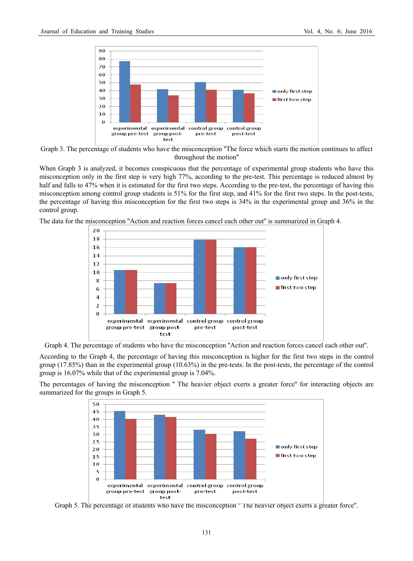



When Graph 3 is analyzed, it becomes conspicuous that the percentage of experimental group students who have this misconception only in the first step is very high 77%, according to the pre-test. This percentage is reduced almost by half and falls to 47% when it is estimated for the first two steps. According to the pre-test, the percentage of having this misconception among control group students is 51% for the first step, and 41% for the first two steps. In the post-tests, the percentage of having this misconception for the first two steps is 34% in the experimental group and 36% in the control group.

The data for the misconception ''Action and reaction forces cancel each other out'' is summarized in Graph 4.





According to the Graph 4, the percentage of having this misconception is higher for the first two steps in the control group  $(17.85\%)$  than in the experimental group  $(10.63\%)$  in the pre-tests. In the post-tests, the percentage of the control group is 16.07% while that of the experimental group is 7.04%.

The percentages of having the misconception '' The heavier object exerts a greater force'' for interacting objects are summarized for the groups in Graph 5.



Graph 5. The percentage of students who have the misconception '' The heavier object exerts a greater force''.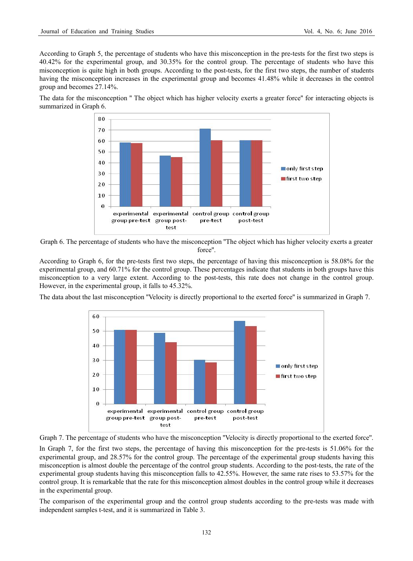According to Graph 5, the percentage of students who have this misconception in the pre-tests for the first two steps is 40.42% for the experimental group, and 30.35% for the control group. The percentage of students who have this misconception is quite high in both groups. According to the post-tests, for the first two steps, the number of students having the misconception increases in the experimental group and becomes 41.48% while it decreases in the control group and becomes 27.14%.

The data for the misconception '' The object which has higher velocity exerts a greater force'' for interacting objects is summarized in Graph 6.



Graph 6. The percentage of students who have the misconception ''The object which has higher velocity exerts a greater force''.

According to Graph 6, for the pre-tests first two steps, the percentage of having this misconception is 58.08% for the experimental group, and 60.71% for the control group. These percentages indicate that students in both groups have this misconception to a very large extent. According to the post-tests, this rate does not change in the control group. However, in the experimental group, it falls to 45.32%.

The data about the last misconception ''Velocity is directly proportional to the exerted force'' is summarized in Graph 7.





In Graph 7, for the first two steps, the percentage of having this misconception for the pre-tests is 51.06% for the experimental group, and 28.57% for the control group. The percentage of the experimental group students having this misconception is almost double the percentage of the control group students. According to the post-tests, the rate of the experimental group students having this misconception falls to 42.55%. However, the same rate rises to 53.57% for the control group. It is remarkable that the rate for this misconception almost doubles in the control group while it decreases in the experimental group.

The comparison of the experimental group and the control group students according to the pre-tests was made with independent samples t-test, and it is summarized in Table 3.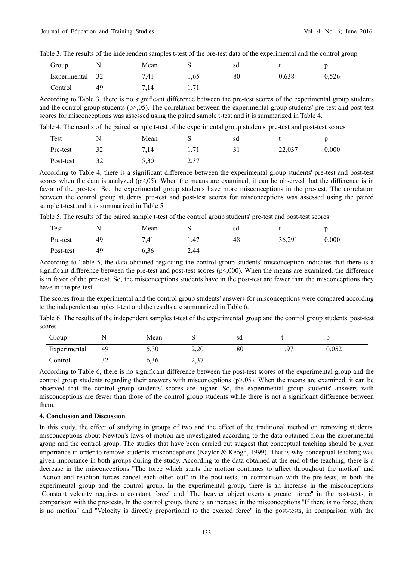| Table 3. The results of the independent samples t-test of the pre-test data of the experimental and the control group |
|-----------------------------------------------------------------------------------------------------------------------|
|-----------------------------------------------------------------------------------------------------------------------|

| Group        |    | Mean | ຼ                | sd |       |       |
|--------------|----|------|------------------|----|-------|-------|
| Experimental | 32 | 7,41 | 1.65             | 80 | 0,638 | 0,526 |
| Control      | 49 | 7,14 | $\cdot$ 1<br>. . |    |       |       |

According to Table 3, there is no significant difference between the pre-test scores of the experimental group students and the control group students ( $p>0.05$ ). The correlation between the experimental group students' pre-test and post-test scores for misconceptions was assessed using the paired sample t-test and it is summarized in Table 4.

Table 4. The results of the paired sample t-test of the experimental group students' pre-test and post-test scores

| Test      |                     | Mean | ັ             | sd          |        |       |  |
|-----------|---------------------|------|---------------|-------------|--------|-------|--|
| Pre-test  | $\mathbf{a}$<br>ےد  | 7.14 | 71            | $\sim$<br>◡ | 22,037 | 0,000 |  |
| Post-test | $\mathcal{L}$<br>32 | 5,30 | າ າາ<br>الـہ⊿ |             |        |       |  |

According to Table 4, there is a significant difference between the experimental group students' pre-test and post-test scores when the data is analyzed  $(p<0.05)$ . When the means are examined, it can be observed that the difference is in favor of the pre-test. So, the experimental group students have more misconceptions in the pre-test. The correlation between the control group students' pre-test and post-test scores for misconceptions was assessed using the paired sample t-test and it is summarized in Table 5.

Table 5. The results of the paired sample t-test of the control group students' pre-test and post-test scores

| Test      | N  | Mean | ັ    | sd |        |       |  |
|-----------|----|------|------|----|--------|-------|--|
| Pre-test  | 49 | 7,41 | 1,47 | 48 | 36,291 | 0,000 |  |
| Post-test | 49 | 6,36 | 2,44 |    |        |       |  |

According to Table 5, the data obtained regarding the control group students' misconception indicates that there is a significant difference between the pre-test and post-test scores  $(p<0.00)$ . When the means are examined, the difference is in favor of the pre-test. So, the misconceptions students have in the post-test are fewer than the misconceptions they have in the pre-test.

The scores from the experimental and the control group students' answers for misconceptions were compared according to the independent samples t-test and the results are summarized in Table 6.

Table 6. The results of the independent samples t-test of the experimental group and the control group students' post-test scores

| Group        |    | Mean | ້             | sd |              |       |
|--------------|----|------|---------------|----|--------------|-------|
| Experimental | 49 | 5,30 | 2,20          | 80 | Q7<br>$\sim$ | 0,052 |
| Control      | ∟د | 6.36 | າ າາ<br>، پ ک |    |              |       |

According to Table 6, there is no significant difference between the post-test scores of the experimental group and the control group students regarding their answers with misconceptions  $(p>0.05)$ . When the means are examined, it can be observed that the control group students' scores are higher. So, the experimental group students' answers with misconceptions are fewer than those of the control group students while there is not a significant difference between them.

#### **4. Conclusion and Discussion**

In this study, the effect of studying in groups of two and the effect of the traditional method on removing students' misconceptions about Newton's laws of motion are investigated according to the data obtained from the experimental group and the control group. The studies that have been carried out suggest that conceptual teaching should be given importance in order to remove students' misconceptions (Naylor & Keogh, 1999). That is why conceptual teaching was given importance in both groups during the study. According to the data obtained at the end of the teaching, there is a decrease in the misconceptions ''The force which starts the motion continues to affect throughout the motion'' and ''Action and reaction forces cancel each other out'' in the post-tests, in comparison with the pre-tests, in both the experimental group and the control group. In the experimental group, there is an increase in the misconceptions ''Constant velocity requires a constant force'' and ''The heavier object exerts a greater force'' in the post-tests, in comparison with the pre-tests. In the control group, there is an increase in the misconceptions ''If there is no force, there is no motion'' and ''Velocity is directly proportional to the exerted force'' in the post-tests, in comparison with the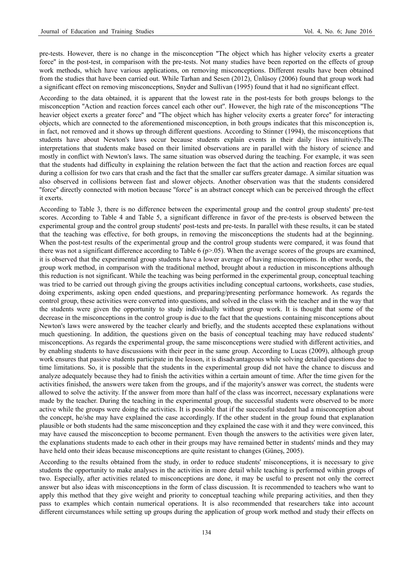pre-tests. However, there is no change in the misconception ''The object which has higher velocity exerts a greater force'' in the post-test, in comparison with the pre-tests. Not many studies have been reported on the effects of group work methods, which have various applications, on removing misconceptions. Different results have been obtained from the studies that have been carried out. While Tarhan and Sesen (2012), Ünlüsoy (2006) found that group work had a significant effect on removing misconceptions, Snyder and Sullivan (1995) found that it had no significant effect.

According to the data obtained, it is apparent that the lowest rate in the post-tests for both groups belongs to the misconception ''Action and reaction forces cancel each other out''. However, the high rate of the misconceptions ''The heavier object exerts a greater force'' and ''The object which has higher velocity exerts a greater force'' for interacting objects, which are connected to the aforementioned misconception, in both groups indicates that this misconception is, in fact, not removed and it shows up through different questions. According to Stinner (1994), the misconceptions that students have about Newton's laws occur because students explain events in their daily lives intuitively.The interpretations that students make based on their limited observations are in parallel with the history of science and mostly in conflict with Newton's laws. The same situation was observed during the teaching. For example, it was seen that the students had difficulty in explaining the relation between the fact that the action and reaction forces are equal during a collision for two cars that crash and the fact that the smaller car suffers greater damage. A similar situation was also observed in collisions between fast and slower objects. Another observation was that the students considered ''force'' directly connected with motion because ''force'' is an abstract concept which can be perceived through the effect it exerts.

According to Table 3, there is no difference between the experimental group and the control group students' pre-test scores. According to Table 4 and Table 5, a significant difference in favor of the pre-tests is observed between the experimental group and the control group students' post-tests and pre-tests. In parallel with these results, it can be stated that the teaching was effective, for both groups, in removing the misconceptions the students had at the beginning. When the post-test results of the experimental group and the control group students were compared, it was found that there was not a significant difference according to Table 6 ( $p$  $> 0$ 5). When the average scores of the groups are examined, it is observed that the experimental group students have a lower average of having misconceptions. In other words, the group work method, in comparison with the traditional method, brought about a reduction in misconceptions although this reduction is not significant. While the teaching was being performed in the experimental group, conceptual teaching was tried to be carried out through giving the groups activities including conceptual cartoons, worksheets, case studies, doing experiments, asking open ended questions, and preparing/presenting performance homework. As regards the control group, these activities were converted into questions, and solved in the class with the teacher and in the way that the students were given the opportunity to study individually without group work. It is thought that some of the decrease in the misconceptions in the control group is due to the fact that the questions containing misconceptions about Newton's laws were answered by the teacher clearly and briefly, and the students accepted these explanations without much questioning. In addition, the questions given on the basis of conceptual teaching may have reduced students' misconceptions. As regards the experimental group, the same misconceptions were studied with different activities, and by enabling students to have discussions with their peer in the same group. According to Lucas (2009), although group work ensures that passive students participate in the lesson, it is disadvantageous while solving detailed questions due to time limitations. So, it is possible that the students in the experimental group did not have the chance to discuss and analyze adequately because they had to finish the activities within a certain amount of time. After the time given for the activities finished, the answers were taken from the groups, and if the majority's answer was correct, the students were allowed to solve the activity. If the answer from more than half of the class was incorrect, necessary explanations were made by the teacher. During the teaching in the experimental group, the successful students were observed to be more active while the groups were doing the activities. It is possible that if the successful student had a misconception about the concept, he/she may have explained the case accordingly. If the other student in the group found that explanation plausible or both students had the same misconception and they explained the case with it and they were convinced, this may have caused the misconception to become permanent. Even though the answers to the activities were given later, the explanations students made to each other in their groups may have remained better in students' minds and they may have held onto their ideas because misconceptions are quite resistant to changes (Güneş, 2005).

According to the results obtained from the study, in order to reduce students' misconceptions, it is necessary to give students the opportunity to make analyses in the activities in more detail while teaching is performed within groups of two. Especially, after activities related to misconceptions are done, it may be useful to present not only the correct answer but also ideas with misconceptions in the form of class discussion. It is recommended to teachers who want to apply this method that they give weight and priority to conceptual teaching while preparing activities, and then they pass to examples which contain numerical operations. It is also recommended that researchers take into account different circumstances while setting up groups during the application of group work method and study their effects on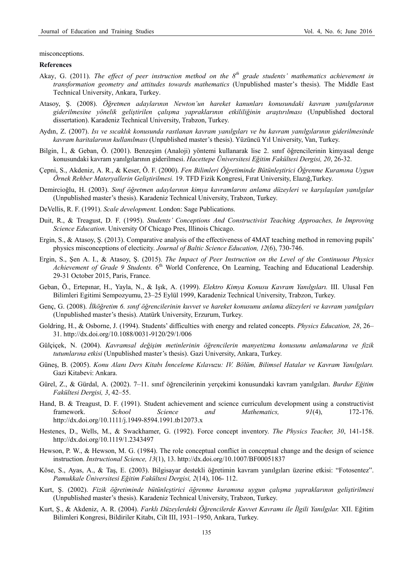misconceptions.

#### **References**

- Akay, G. (2011). *The effect of peer instruction method on the 8th grade students' mathematics achievement in transformation geometry and attitudes towards mathematics* (Unpublished master's thesis). The Middle East Technical University, Ankara, Turkey.
- Atasoy, Ş. (2008). *Öğretmen adaylarının Newton'un hareket kanunları konusundaki kavram yanılgılarının giderilmesine yönelik geliştirilen çalışma yapraklarının etkililiğinin araştırılması* (Unpublished doctoral dissertation). Karadeniz Technical University, Trabzon, Turkey.
- Aydın, Z. (2007). *Isı ve sıcaklık konusunda rastlanan kavram yanılgıları ve bu kavram yanılgılarının giderilmesinde kavram haritalarının kullanılması* (Unpublished master's thesis). Yüzüncü Yıl University, Van, Turkey.
- Bilgin, İ., & Geban, Ö. (2001). Benzeşim (Analoji) yöntemi kullanarak lise 2. sınıf öğrencilerinin kimyasal denge konusundaki kavram yanılgılarının giderilmesi. *Hacettepe Üniversitesi Eğitim Fakültesi Dergisi, 20*, 26-32.
- Çepni, S., Akdeniz, A. R., & Keser, Ö. F. (2000). *Fen Bilimleri Öğretiminde Bütünleştirici Öğrenme Kuramına Uygun Örnek Rehber Materyallerin Geliştirilmesi.* 19. TFD Fizik Kongresi, Fırat University, Elazığ,Turkey.
- Demircioğlu, H. (2003). *Sınıf öğretmen adaylarının kimya kavramlarını anlama düzeyleri ve karşılaşılan yanılgılar* (Unpublished master's thesis). Karadeniz Technical University, Trabzon, Turkey.
- DeVellis, R. F. (1991). *Scale development.* London: Sage Publications.
- Duit, R., & Treagust, D. F. (1995). *Students' Conceptions And Constructivist Teaching Approaches, In Improving Science Education*. University Of Chicago Pres, Illinois Chicago.
- Ergin, S., & Atasoy, Ş. (2013). Comparative analysis of the effectiveness of 4MAT teaching method in removing pupils' physics misconceptions of electicity. *Journal of Baltic Science Education, 12*(6), 730-746.
- Ergin, S., Şen A. I., & Atasoy, Ş. (2015). *The Impact of Peer Instruction on the Level of the Continuous Physics Achievement of Grade 9 Students.* 6<sup>th</sup> World Conference, On Learning, Teaching and Educational Leadership. 29-31 October 2015, Paris, France.
- Geban, Ö., Ertepınar, H., Yayla, N., & Işık, A. (1999). *Elektro Kimya Konusu Kavram Yanılgıları.* III. Ulusal Fen Bilimleri Egitimi Sempozyumu, 23–25 Eylül 1999, Karadeniz Technical University, Trabzon, Turkey.
- Genç, G. (2008). *İlköğretim 6. sınıf öğrencilerinin kuvvet ve hareket konusunu anlama düzeyleri ve kavram yanılgıları* (Unpublished master's thesis). Atatürk University, Erzurum, Turkey.
- Goldring, H., & Osborne, J. (1994). Students' difficulties with energy and related concepts. *Physics Education, 28*, 26– 31. http://dx.doi.org/10.1088/0031-9120/29/1/006
- Gülçiçek, N. (2004). *Kavramsal değişim metinlerinin öğrencilerin manyetizma konusunu anlamalarına ve fizik tutumlarına etkisi* (Unpublished master's thesis). Gazi University, Ankara, Turkey.
- Güneş, B. (2005). *Konu Alanı Ders Kitabı İnnceleme Kılavuzu: IV. Bölüm, Bilimsel Hatalar ve Kavram Yanılgıları.*  Gazi Kitabevi: Ankara.
- Gürel, Z., & Gürdal, A. (2002). 7–11. sınıf öğrencilerinin yerçekimi konusundaki kavram yanılgıları. *Burdur Eğitim Fakültesi Dergisi, 3*, 42–55.
- Hand, B. & Treagust, D. F. (1991). Student achievement and science curriculum development using a constructivist framework. *School Science and Mathematics, 91*(4), 172-176. http://dx.doi.org/10.1111/j.1949-8594.1991.tb12073.x
- Hestenes, D., Wells, M., & Swackhamer, G. (1992). Force concept inventory. *The Physics Teacher, 30*, 141-158. http://dx.doi.org/10.1119/1.2343497
- Hewson, P. W., & Hewson, M. G. (1984). The role conceptual conflict in conceptual change and the design of science instruction. *Instructional Science, 13*(1), 13. http://dx.doi.org/10.1007/BF00051837
- Köse, S., Ayas, A., & Taş, E. (2003). Bilgisayar destekli öğretimin kavram yanılgıları üzerine etkisi: "Fotosentez". *Pamukkale Üniversitesi Eğitim Fakültesi Dergisi, 2*(14), 106- 112.
- Kurt, Ş. (2002). *Fizik öğretiminde bütünleştirici öğrenme kuramına uygun çalışma yapraklarının geliştirilmesi*  (Unpublished master's thesis). Karadeniz Technical University, Trabzon, Turkey.
- Kurt, Ş., & Akdeniz, A. R. (2004). *Farklı Düzeylerdeki Öğrencilerde Kuvvet Kavramı ile İlgili Yanılgılar.* XII. Eğitim Bilimleri Kongresi, Bildiriler Kitabı, Cilt III, 1931–1950, Ankara, Turkey.